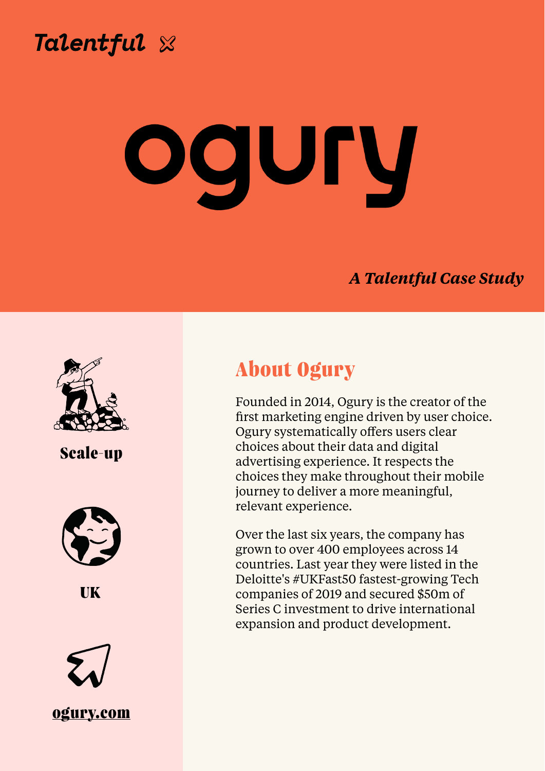

**Chris Wilkinson, Director of People's People's People's People's People's People's People's People** 

## *A Talentful Case Study*



**About Ogury** 

Founded in 2014, Ogury is the creator of the first marketing engine driven by user choice. Ogury systematically offers users clear choices about their data and digital advertising experience. It respects the choices they make throughout their mobile journey to deliver a more meaningful, relevant experience.

Over the last six years, the company has grown to over 400 employees across 14 countries. Last year they were listed in the Deloitte's #UKFast50 fastest-growing Tech companies of 2019 and secured \$50m of Series C investment to drive international expansion and product development.

# **Scale-up**



### **UK**



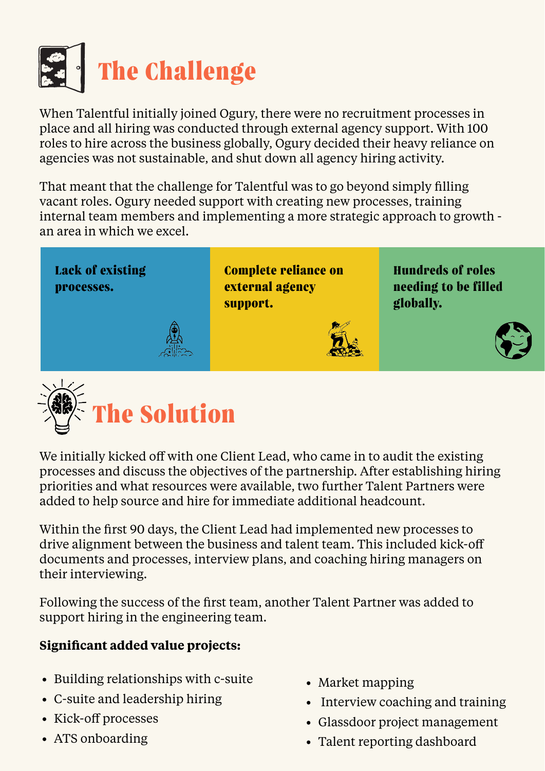

When Talentful initially joined Ogury, there were no recruitment processes in place and all hiring was conducted through external agency support. With 100 roles to hire across the business globally, Ogury decided their heavy reliance on agencies was not sustainable, and shut down all agency hiring activity.

That meant that the challenge for Talentful was to go beyond simply filling vacant roles. Ogury needed support with creating new processes, training internal team members and implementing a more strategic approach to growth an area in which we excel.



We initially kicked off with one Client Lead, who came in to audit the existing processes and discuss the objectives of the partnership. After establishing hiring priorities and what resources were available, two further Talent Partners were added to help source and hire for immediate additional headcount.

Within the first 90 days, the Client Lead had implemented new processes to drive alignment between the business and talent team. This included kick-off documents and processes, interview plans, and coaching hiring managers on their interviewing.

Following the success of the first team, another Talent Partner was added to support hiring in the engineering team.

### **Significant added value projects:**

**Lack of existing processes.**

**Complete reliance on external agency support.**

**Hundreds of roles needing to be filled globally.** 



- Building relationships with c-suite
- C-suite and leadership hiring
- Kick-off processes
- ATS onboarding
- Market mapping
- Interview coaching and training
- Glassdoor project management
- Talent reporting dashboard